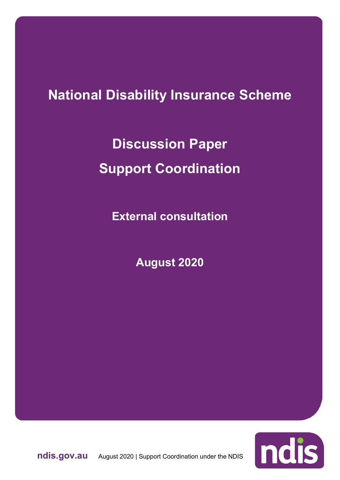## **National Disability Insurance Scheme**

**Discussion Paper Support Coordination**

**External consultation**

**August 2020**



**ndis.gov.au** August 2020 | Support Coordination under the NDIS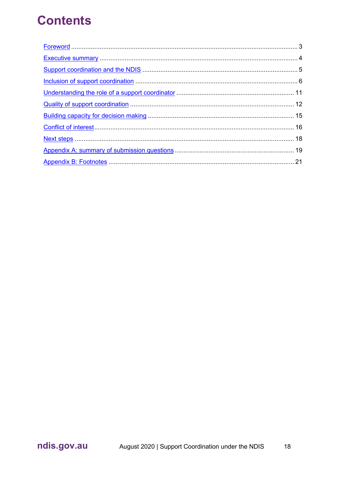## **Contents**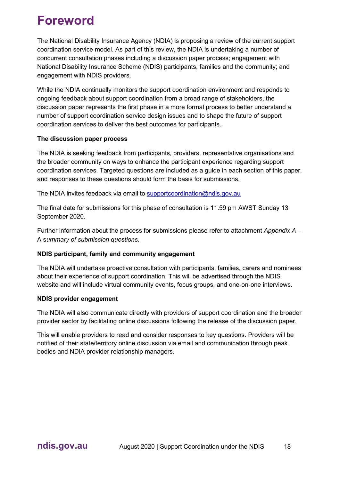## <span id="page-2-0"></span>**Foreword**

The National Disability Insurance Agency (NDIA) is proposing a review of the current support coordination service model. As part of this review, the NDIA is undertaking a number of concurrent consultation phases including a discussion paper process; engagement with National Disability Insurance Scheme (NDIS) participants, families and the community; and engagement with NDIS providers.

While the NDIA continually monitors the support coordination environment and responds to ongoing feedback about support coordination from a broad range of stakeholders, the discussion paper represents the first phase in a more formal process to better understand a number of support coordination service design issues and to shape the future of support coordination services to deliver the best outcomes for participants.

### **The discussion paper process**

The NDIA is seeking feedback from participants, providers, representative organisations and the broader community on ways to enhance the participant experience regarding support coordination services. Targeted questions are included as a guide in each section of this paper, and responses to these questions should form the basis for submissions.

The NDIA invites feedback via email to [supportcoordination@ndis.gov.au](about:blank)

The final date for submissions for this phase of consultation is 11.59 pm AWST Sunday 13 September 2020.

Further information about the process for submissions please refer to attachment *Appendix A –* A s*ummary of submission questions***.**

### **NDIS participant, family and community engagement**

The NDIA will undertake proactive consultation with participants, families, carers and nominees about their experience of support coordination. This will be advertised through the NDIS website and will include virtual community events, focus groups, and one-on-one interviews.

### **NDIS provider engagement**

The NDIA will also communicate directly with providers of support coordination and the broader provider sector by facilitating online discussions following the release of the discussion paper.

This will enable providers to read and consider responses to key questions. Providers will be notified of their state/territory online discussion via email and communication through peak bodies and NDIA provider relationship managers.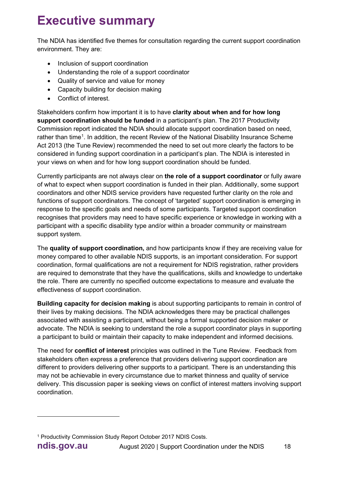# <span id="page-3-0"></span>**Executive summary**

The NDIA has identified five themes for consultation regarding the current support coordination environment. They are:

- Inclusion of support coordination
- Understanding the role of a support coordinator
- Quality of service and value for money
- Capacity building for decision making
- Conflict of interest.

Stakeholders confirm how important it is to have **clarity about when and for how long support coordination should be funded** in a participant's plan. The 2017 Productivity Commission report indicated the NDIA should allocate support coordination based on need, rather than time<sup>[1](#page-3-1)</sup>. In addition, the recent Review of the National Disability Insurance Scheme Act 2013 (the Tune Review) recommended the need to set out more clearly the factors to be considered in funding support coordination in a participant's plan. The NDIA is interested in your views on when and for how long support coordination should be funded.

Currently participants are not always clear on **the role of a support coordinator** or fully aware of what to expect when support coordination is funded in their plan. Additionally, some support coordinators and other NDIS service providers have requested further clarity on the role and functions of support coordinators. The concept of 'targeted' support coordination is emerging in response to the specific goals and needs of some participants. Targeted support coordination recognises that providers may need to have specific experience or knowledge in working with a participant with a specific disability type and/or within a broader community or mainstream support system.

The **quality of support coordination,** and how participants know if they are receiving value for money compared to other available NDIS supports, is an important consideration. For support coordination, formal qualifications are not a requirement for NDIS registration, rather providers are required to demonstrate that they have the qualifications, skills and knowledge to undertake the role. There are currently no specified outcome expectations to measure and evaluate the effectiveness of support coordination.

**Building capacity for decision making** is about supporting participants to remain in control of their lives by making decisions. The NDIA acknowledges there may be practical challenges associated with assisting a participant, without being a formal supported decision maker or advocate. The NDIA is seeking to understand the role a support coordinator plays in supporting a participant to build or maintain their capacity to make independent and informed decisions.

The need for **conflict of interest** principles was outlined in the Tune Review. Feedback from stakeholders often express a preference that providers delivering support coordination are different to providers delivering other supports to a participant. There is an understanding this may not be achievable in every circumstance due to market thinness and quality of service delivery. This discussion paper is seeking views on conflict of interest matters involving support coordination.

<span id="page-3-1"></span><sup>1</sup> Productivity Commission Study Report October 2017 NDIS Costs.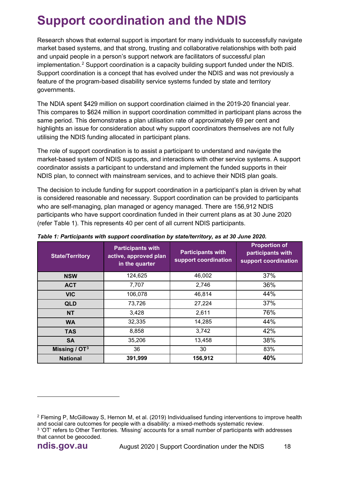# <span id="page-4-0"></span>**Support coordination and the NDIS**

Research shows that external support is important for many individuals to successfully navigate market based systems, and that strong, trusting and collaborative relationships with both paid and unpaid people in a person's support network are facilitators of successful plan implementation.<sup>[2](#page-4-1)</sup> Support coordination is a capacity building support funded under the NDIS. Support coordination is a concept that has evolved under the NDIS and was not previously a feature of the program-based disability service systems funded by state and territory governments.

The NDIA spent \$429 million on support coordination claimed in the 2019-20 financial year. This compares to \$624 million in support coordination committed in participant plans across the same period. This demonstrates a plan utilisation rate of approximately 69 per cent and highlights an issue for consideration about why support coordinators themselves are not fully utilising the NDIS funding allocated in participant plans.

The role of support coordination is to assist a participant to understand and navigate the market-based system of NDIS supports, and interactions with other service systems. A support coordinator assists a participant to understand and implement the funded supports in their NDIS plan, to connect with mainstream services, and to achieve their NDIS plan goals.

The decision to include funding for support coordination in a participant's plan is driven by what is considered reasonable and necessary. Support coordination can be provided to participants who are self-managing, plan managed or agency managed. There are 156,912 NDIS participants who have support coordination funded in their current plans as at 30 June 2020 (refer Table 1). This represents 40 per cent of all current NDIS participants.

| <b>State/Territory</b> | <b>Participants with</b><br>active, approved plan<br>in the quarter | <b>Participants with</b><br>support coordination | <b>Proportion of</b><br>participants with<br>support coordination |
|------------------------|---------------------------------------------------------------------|--------------------------------------------------|-------------------------------------------------------------------|
| <b>NSW</b>             | 124,625                                                             | 46,002                                           | 37%                                                               |
| <b>ACT</b>             | 7,707                                                               | 2,746                                            | 36%                                                               |
| <b>VIC</b>             | 106,078                                                             | 46,814                                           | 44%                                                               |
| <b>QLD</b>             | 73,726                                                              | 27,224                                           | 37%                                                               |
| <b>NT</b>              | 3,428                                                               | 2,611                                            | 76%                                                               |
| <b>WA</b>              | 32,335                                                              | 14,285                                           | 44%                                                               |
| <b>TAS</b>             | 8,858                                                               | 3,742                                            | 42%                                                               |
| <b>SA</b>              | 35,206                                                              | 13,458                                           | 38%                                                               |
| Missing / $OT3$        | 36                                                                  | 30                                               | 83%                                                               |
| <b>National</b>        | 391,999                                                             | 156,912                                          | 40%                                                               |

*Table 1: Participants with support coordination by state/territory, as at 30 June 2020.*

<span id="page-4-2"></span><span id="page-4-1"></span><sup>2</sup> Fleming P, McGilloway S, Hernon M, et al. (2019) Individualised funding interventions to improve health and social care outcomes for people with a disability: a mixed-methods systematic review. <sup>3</sup> 'OT' refers to Other Territories. 'Missing' accounts for a small number of participants with addresses that cannot be geocoded.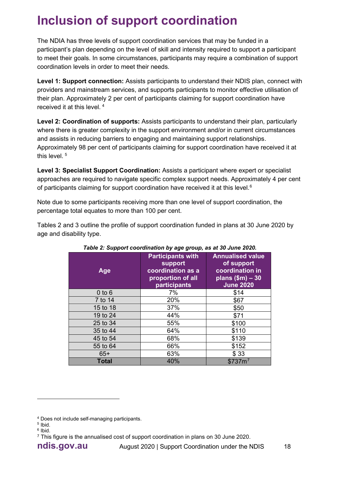# <span id="page-5-0"></span>**Inclusion of support coordination**

The NDIA has three levels of support coordination services that may be funded in a participant's plan depending on the level of skill and intensity required to support a participant to meet their goals. In some circumstances, participants may require a combination of support coordination levels in order to meet their needs.

**Level 1: Support connection:** Assists participants to understand their NDIS plan, connect with providers and mainstream services, and supports participants to monitor effective utilisation of their plan. Approximately 2 per cent of participants claiming for support coordination have received it at this level. [4](#page-5-1)

**Level 2: Coordination of supports:** Assists participants to understand their plan, particularly where there is greater complexity in the support environment and/or in current circumstances and assists in reducing barriers to engaging and maintaining support relationships. Approximately 98 per cent of participants claiming for support coordination have received it at this level. [5](#page-5-2)

**Level 3: Specialist Support Coordination:** Assists a participant where expert or specialist approaches are required to navigate specific complex support needs. Approximately 4 per cent of participants claiming for support coordination have received it at this level. $^6$  $^6$ 

Note due to some participants receiving more than one level of support coordination, the percentage total equates to more than 100 per cent.

Tables 2 and 3 outline the profile of support coordination funded in plans at 30 June 2020 by age and disability type.

| Age          | <b>Participants with</b><br>support<br>coordination as a<br>proportion of all<br>participants | <b>Annualised value</b><br>of support<br>coordination in<br>plans $$m) - 30$<br><b>June 2020</b> |
|--------------|-----------------------------------------------------------------------------------------------|--------------------------------------------------------------------------------------------------|
| $0$ to $6$   | 7%                                                                                            | \$14                                                                                             |
| 7 to 14      | 20%                                                                                           | \$67                                                                                             |
| 15 to 18     | 37%                                                                                           | \$50                                                                                             |
| 19 to 24     | 44%                                                                                           | \$71                                                                                             |
| 25 to 34     | 55%                                                                                           | \$100                                                                                            |
| 35 to 44     | 64%                                                                                           | \$110                                                                                            |
| 45 to 54     | 68%                                                                                           | \$139                                                                                            |
| 55 to 64     | 66%                                                                                           | \$152                                                                                            |
| $65+$        | 63%                                                                                           | \$33                                                                                             |
| <b>Total</b> | 40%                                                                                           | \$737m <sup>7</sup>                                                                              |

|  | Table 2: Support coordination by age group, as at 30 June 2020. |  |  |
|--|-----------------------------------------------------------------|--|--|
|  |                                                                 |  |  |

<span id="page-5-1"></span> $4$  Does not include self-managing participants.<br> $5$  Ibid.

<span id="page-5-2"></span> $6$  lhid.

<span id="page-5-4"></span><span id="page-5-3"></span><sup>&</sup>lt;sup>7</sup> This figure is the annualised cost of support coordination in plans on 30 June 2020.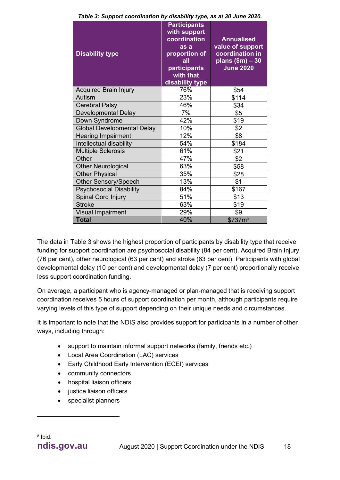| <b>Disability type</b>            | <b>Participants</b><br>with support<br>coordination<br>as a<br>proportion of<br>all<br>participants<br>with that<br>disability type | <b>Annualised</b><br>value of support<br>coordination in<br>$plane($ \$m $) - 30$<br><b>June 2020</b> |
|-----------------------------------|-------------------------------------------------------------------------------------------------------------------------------------|-------------------------------------------------------------------------------------------------------|
| <b>Acquired Brain Injury</b>      | 76%                                                                                                                                 | \$54                                                                                                  |
| Autism                            | 23%                                                                                                                                 | \$114                                                                                                 |
| <b>Cerebral Palsy</b>             | 46%                                                                                                                                 | \$34                                                                                                  |
| <b>Developmental Delay</b>        | 7%                                                                                                                                  | \$5                                                                                                   |
| Down Syndrome                     | 42%                                                                                                                                 | \$19                                                                                                  |
| <b>Global Developmental Delay</b> | 10%                                                                                                                                 | \$2                                                                                                   |
| <b>Hearing Impairment</b>         | 12%                                                                                                                                 | \$8                                                                                                   |
| Intellectual disability           | 54%                                                                                                                                 | \$184                                                                                                 |
| <b>Multiple Sclerosis</b>         | 61%                                                                                                                                 | \$21                                                                                                  |
| Other                             | 47%                                                                                                                                 | \$2                                                                                                   |
| <b>Other Neurological</b>         | 63%                                                                                                                                 | \$58                                                                                                  |
| <b>Other Physical</b>             | 35%                                                                                                                                 | \$28                                                                                                  |
| <b>Other Sensory/Speech</b>       | 13%                                                                                                                                 | \$1                                                                                                   |
| <b>Psychosocial Disability</b>    | 84%                                                                                                                                 | \$167                                                                                                 |
| Spinal Cord Injury                | 51%                                                                                                                                 | \$13                                                                                                  |
| <b>Stroke</b>                     | 63%                                                                                                                                 | \$19                                                                                                  |
| <b>Visual Impairment</b>          | 29%                                                                                                                                 | \$9                                                                                                   |
| <b>Total</b>                      | 40%                                                                                                                                 | \$737m <sup>8</sup>                                                                                   |

*Table 3: Support coordination by disability type, as at 30 June 2020.*

The data in Table 3 shows the highest proportion of participants by disability type that receive funding for support coordination are psychosocial disability (84 per cent), Acquired Brain Injury (76 per cent), other neurological (63 per cent) and stroke (63 per cent). Participants with global developmental delay (10 per cent) and developmental delay (7 per cent) proportionally receive less support coordination funding.

On average, a participant who is agency-managed or plan-managed that is receiving support coordination receives 5 hours of support coordination per month, although participants require varying levels of this type of support depending on their unique needs and circumstances.

It is important to note that the NDIS also provides support for participants in a number of other ways, including through:

- support to maintain informal support networks (family, friends etc.)
- Local Area Coordination (LAC) services
- Early Childhood Early Intervention (ECEI) services
- community connectors
- hospital liaison officers
- justice liaison officers
- <span id="page-6-0"></span>• specialist planners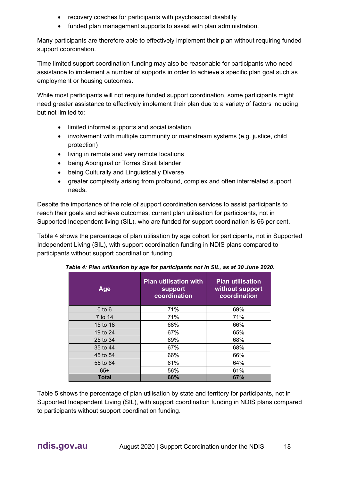- recovery coaches for participants with psychosocial disability
- funded plan management supports to assist with plan administration.

Many participants are therefore able to effectively implement their plan without requiring funded support coordination.

Time limited support coordination funding may also be reasonable for participants who need assistance to implement a number of supports in order to achieve a specific plan goal such as employment or housing outcomes.

While most participants will not require funded support coordination, some participants might need greater assistance to effectively implement their plan due to a variety of factors including but not limited to:

- limited informal supports and social isolation
- involvement with multiple community or mainstream systems (e.g. justice, child protection)
- living in remote and very remote locations
- being Aboriginal or Torres Strait Islander
- being Culturally and Linguistically Diverse
- greater complexity arising from profound, complex and often interrelated support needs.

Despite the importance of the role of support coordination services to assist participants to reach their goals and achieve outcomes, current plan utilisation for participants, not in Supported Independent living (SIL), who are funded for support coordination is 66 per cent.

Table 4 shows the percentage of plan utilisation by age cohort for participants, not in Supported Independent Living (SIL), with support coordination funding in NDIS plans compared to participants without support coordination funding.

| Age          | <b>Plan utilisation with</b><br>support<br>coordination | <b>Plan utilisation</b><br>without support<br>coordination |
|--------------|---------------------------------------------------------|------------------------------------------------------------|
| $0$ to $6$   | 71%                                                     | 69%                                                        |
| 7 to 14      | 71%                                                     | 71%                                                        |
| 15 to 18     | 68%                                                     | 66%                                                        |
| 19 to 24     | 67%                                                     | 65%                                                        |
| 25 to 34     | 69%                                                     | 68%                                                        |
| 35 to 44     | 67%                                                     | 68%                                                        |
| 45 to 54     | 66%                                                     | 66%                                                        |
| 55 to 64     | 61%                                                     | 64%                                                        |
| $65+$        | 56%                                                     | 61%                                                        |
| <b>Total</b> | 66%                                                     | 67%                                                        |

*Table 4: Plan utilisation by age for participants not in SIL, as at 30 June 2020.*

Table 5 shows the percentage of plan utilisation by state and territory for participants, not in Supported Independent Living (SIL), with support coordination funding in NDIS plans compared to participants without support coordination funding.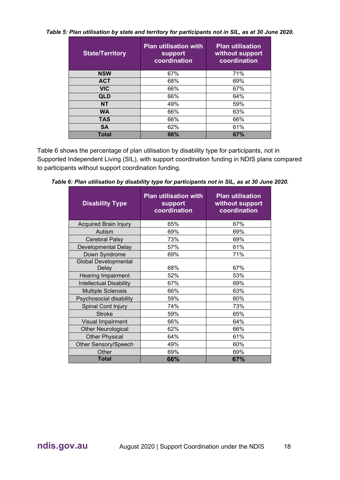*Table 5: Plan utilisation by state and territory for participants not in SIL, as at 30 June 2020.*

| <b>State/Territory</b> | <b>Plan utilisation with</b><br>support<br>coordination | <b>Plan utilisation</b><br>without support<br>coordination |
|------------------------|---------------------------------------------------------|------------------------------------------------------------|
| <b>NSW</b>             | 67%                                                     | 71%                                                        |
| <b>ACT</b>             | 68%                                                     | 69%                                                        |
| <b>VIC</b>             | 66%                                                     | 67%                                                        |
| QLD                    | 66%                                                     | 64%                                                        |
| <b>NT</b>              | 49%                                                     | 59%                                                        |
| <b>WA</b>              | 66%                                                     | 63%                                                        |
| <b>TAS</b>             | 66%                                                     | 66%                                                        |
| <b>SA</b>              | 62%                                                     | 61%                                                        |
| <b>Total</b>           | 66%                                                     | 67%                                                        |

Table 6 shows the percentage of plan utilisation by disability type for participants, not in Supported Independent Living (SIL), with support coordination funding in NDIS plans compared to participants without support coordination funding.

| <b>Disability Type</b>               | <b>Plan utilisation with</b><br>support<br>coordination | <b>Plan utilisation</b><br>without support<br>coordination |
|--------------------------------------|---------------------------------------------------------|------------------------------------------------------------|
| <b>Acquired Brain Injury</b>         | 65%                                                     | 67%                                                        |
| Autism                               | 69%                                                     | 69%                                                        |
| Cerebral Palsy                       | 73%                                                     | 69%                                                        |
| <b>Developmental Delay</b>           | 57%                                                     | 61%                                                        |
| Down Syndrome                        | 69%                                                     | 71%                                                        |
| <b>Global Developmental</b><br>Delay | 68%                                                     | 67%                                                        |
| <b>Hearing Impairment</b>            | 52%                                                     | 53%                                                        |
| <b>Intellectual Disability</b>       | 67%                                                     | 69%                                                        |
| <b>Multiple Sclerosis</b>            | 66%                                                     | 63%                                                        |
| Psychosocial disability              | 59%                                                     | 60%                                                        |
| Spinal Cord Injury                   | 74%                                                     | 73%                                                        |
| <b>Stroke</b>                        | 59%                                                     | 65%                                                        |
| <b>Visual Impairment</b>             | 66%                                                     | 64%                                                        |
| <b>Other Neurological</b>            | 62%                                                     | 66%                                                        |
| <b>Other Physical</b>                | 64%                                                     | 61%                                                        |
| Other Sensory/Speech                 | 49%                                                     | 60%                                                        |
| Other                                | 69%                                                     | 69%                                                        |
| Total                                | 66%                                                     | 67%                                                        |

*Table 6: Plan utilisation by disability type for participants not in SIL, as at 30 June 2020.*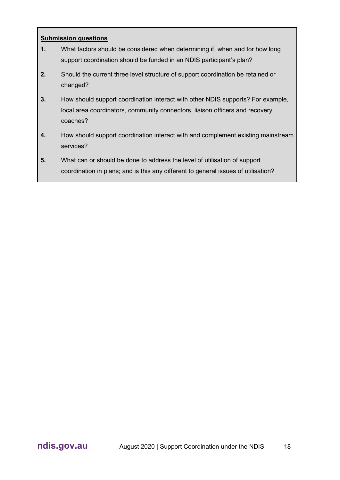- **1.** What factors should be considered when determining if, when and for how long support coordination should be funded in an NDIS participant's plan?
- **2.** Should the current three level structure of support coordination be retained or changed?
- **3.** How should support coordination interact with other NDIS supports? For example, local area coordinators, community connectors, liaison officers and recovery coaches?
- **4.** How should support coordination interact with and complement existing mainstream services?
- **5.** What can or should be done to address the level of utilisation of support coordination in plans; and is this any different to general issues of utilisation?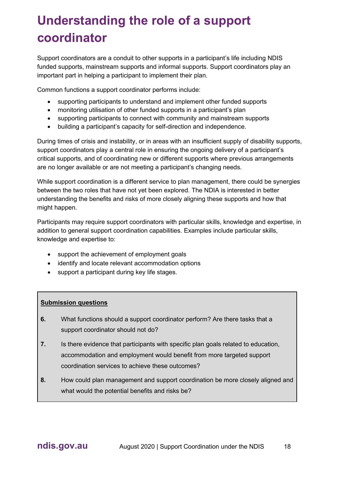# <span id="page-10-0"></span>**Understanding the role of a support coordinator**

Support coordinators are a conduit to other supports in a participant's life including NDIS funded supports, mainstream supports and informal supports. Support coordinators play an important part in helping a participant to implement their plan.

Common functions a support coordinator performs include:

- supporting participants to understand and implement other funded supports
- monitoring utilisation of other funded supports in a participant's plan
- supporting participants to connect with community and mainstream supports
- building a participant's capacity for self-direction and independence.

During times of crisis and instability, or in areas with an insufficient supply of disability supports, support coordinators play a central role in ensuring the ongoing delivery of a participant's critical supports, and of coordinating new or different supports where previous arrangements are no longer available or are not meeting a participant's changing needs.

While support coordination is a different service to plan management, there could be synergies between the two roles that have not yet been explored. The NDIA is interested in better understanding the benefits and risks of more closely aligning these supports and how that might happen.

Participants may require support coordinators with particular skills, knowledge and expertise, in addition to general support coordination capabilities. Examples include particular skills, knowledge and expertise to:

- support the achievement of employment goals
- identify and locate relevant accommodation options
- support a participant during key life stages.

- **6.** What functions should a support coordinator perform? Are there tasks that a support coordinator should not do?
- **7.** Is there evidence that participants with specific plan goals related to education, accommodation and employment would benefit from more targeted support coordination services to achieve these outcomes?
- **8.** How could plan management and support coordination be more closely aligned and what would the potential benefits and risks be?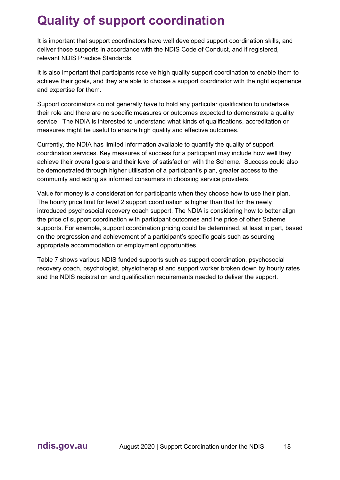# <span id="page-11-0"></span>**Quality of support coordination**

It is important that support coordinators have well developed support coordination skills, and deliver those supports in accordance with the NDIS Code of Conduct, and if registered, relevant NDIS Practice Standards.

It is also important that participants receive high quality support coordination to enable them to achieve their goals, and they are able to choose a support coordinator with the right experience and expertise for them.

Support coordinators do not generally have to hold any particular qualification to undertake their role and there are no specific measures or outcomes expected to demonstrate a quality service. The NDIA is interested to understand what kinds of qualifications, accreditation or measures might be useful to ensure high quality and effective outcomes.

Currently, the NDIA has limited information available to quantify the quality of support coordination services. Key measures of success for a participant may include how well they achieve their overall goals and their level of satisfaction with the Scheme. Success could also be demonstrated through higher utilisation of a participant's plan, greater access to the community and acting as informed consumers in choosing service providers.

Value for money is a consideration for participants when they choose how to use their plan. The hourly price limit for level 2 support coordination is higher than that for the newly introduced psychosocial recovery coach support. The NDIA is considering how to better align the price of support coordination with participant outcomes and the price of other Scheme supports. For example, support coordination pricing could be determined, at least in part, based on the progression and achievement of a participant's specific goals such as sourcing appropriate accommodation or employment opportunities.

Table 7 shows various NDIS funded supports such as support coordination, psychosocial recovery coach, psychologist, physiotherapist and support worker broken down by hourly rates and the NDIS registration and qualification requirements needed to deliver the support.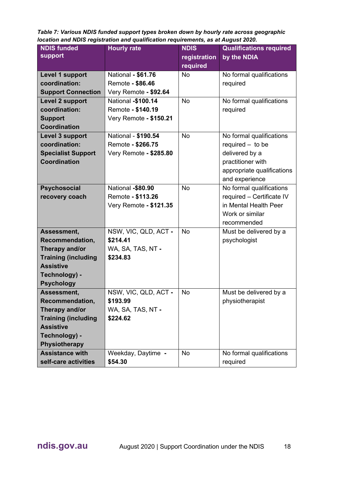*Table 7: Various NDIS funded support types broken down by hourly rate across geographic location and NDIS registration and qualification requirements, as at August 2020.*

| <b>NDIS funded</b>         | <b>Hourly rate</b>        | <b>NDIS</b>  | <b>Qualifications required</b> |
|----------------------------|---------------------------|--------------|--------------------------------|
| support                    |                           | registration | by the NDIA                    |
|                            |                           | required     |                                |
| Level 1 support            | <b>National - \$61.76</b> | <b>No</b>    | No formal qualifications       |
| coordination:              | Remote - \$86.46          |              | required                       |
| <b>Support Connection</b>  | Very Remote - \$92.64     |              |                                |
| <b>Level 2 support</b>     | National -\$100.14        | <b>No</b>    | No formal qualifications       |
| coordination:              | Remote - \$140.19         |              | required                       |
| <b>Support</b>             | Very Remote - \$150.21    |              |                                |
| <b>Coordination</b>        |                           |              |                                |
| Level 3 support            | National - \$190.54       | <b>No</b>    | No formal qualifications       |
| coordination:              | Remote - \$266.75         |              | required $-$ to be             |
| <b>Specialist Support</b>  | Very Remote - \$285.80    |              | delivered by a                 |
| <b>Coordination</b>        |                           |              | practitioner with              |
|                            |                           |              | appropriate qualifications     |
|                            |                           |              | and experience                 |
| <b>Psychosocial</b>        | National -\$80.90         | <b>No</b>    | No formal qualifications       |
| recovery coach             | Remote - \$113.26         |              | required - Certificate IV      |
|                            | Very Remote - \$121.35    |              | in Mental Health Peer          |
|                            |                           |              | Work or similar                |
|                            |                           |              | recommended                    |
| Assessment,                | NSW, VIC, QLD, ACT -      | <b>No</b>    | Must be delivered by a         |
| Recommendation,            | \$214.41                  |              | psychologist                   |
| Therapy and/or             | WA, SA, TAS, NT -         |              |                                |
| <b>Training (including</b> | \$234.83                  |              |                                |
| <b>Assistive</b>           |                           |              |                                |
| Technology) -              |                           |              |                                |
| <b>Psychology</b>          |                           |              |                                |
| Assessment,                | NSW, VIC, QLD, ACT -      | <b>No</b>    | Must be delivered by a         |
| <b>Recommendation,</b>     | \$193.99                  |              | physiotherapist                |
| Therapy and/or             | WA, SA, TAS, NT -         |              |                                |
| <b>Training (including</b> | \$224.62                  |              |                                |
| <b>Assistive</b>           |                           |              |                                |
| Technology) -              |                           |              |                                |
| Physiotherapy              |                           |              |                                |
| <b>Assistance with</b>     | Weekday, Daytime -        | <b>No</b>    | No formal qualifications       |
| self-care activities       | \$54.30                   |              | required                       |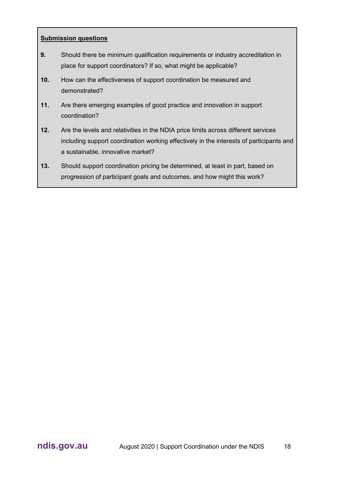- **9.** Should there be minimum qualification requirements or industry accreditation in place for support coordinators? If so, what might be applicable?
- **10.** How can the effectiveness of support coordination be measured and demonstrated?
- **11.** Are there emerging examples of good practice and innovation in support coordination?
- **12.** Are the levels and relativities in the NDIA price limits across different services including support coordination working effectively in the interests of participants and a sustainable, innovative market?
- **13.** Should support coordination pricing be determined, at least in part, based on progression of participant goals and outcomes, and how might this work?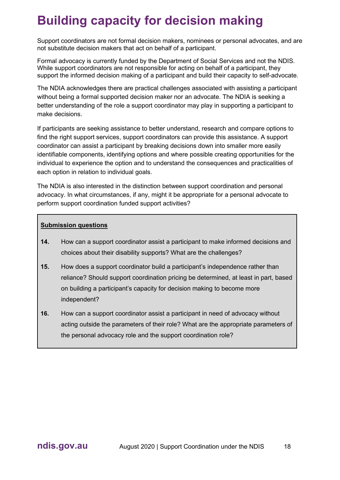# <span id="page-14-0"></span>**Building capacity for decision making**

Support coordinators are not formal decision makers, nominees or personal advocates, and are not substitute decision makers that act on behalf of a participant.

Formal advocacy is currently funded by the Department of Social Services and not the NDIS. While support coordinators are not responsible for acting on behalf of a participant, they support the informed decision making of a participant and build their capacity to self-advocate.

The NDIA acknowledges there are practical challenges associated with assisting a participant without being a formal supported decision maker nor an advocate. The NDIA is seeking a better understanding of the role a support coordinator may play in supporting a participant to make decisions.

If participants are seeking assistance to better understand, research and compare options to find the right support services, support coordinators can provide this assistance. A support coordinator can assist a participant by breaking decisions down into smaller more easily identifiable components, identifying options and where possible creating opportunities for the individual to experience the option and to understand the consequences and practicalities of each option in relation to individual goals.

The NDIA is also interested in the distinction between support coordination and personal advocacy. In what circumstances, if any, might it be appropriate for a personal advocate to perform support coordination funded support activities?

- **14.** How can a support coordinator assist a participant to make informed decisions and choices about their disability supports? What are the challenges?
- **15.** How does a support coordinator build a participant's independence rather than reliance? Should support coordination pricing be determined, at least in part, based on building a participant's capacity for decision making to become more independent?
- **16.** How can a support coordinator assist a participant in need of advocacy without acting outside the parameters of their role? What are the appropriate parameters of the personal advocacy role and the support coordination role?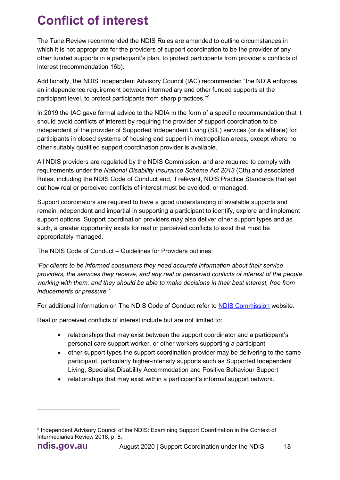# <span id="page-15-0"></span>**Conflict of interest**

The Tune Review recommended the NDIS Rules are amended to outline circumstances in which it is not appropriate for the providers of support coordination to be the provider of any other funded supports in a participant's plan, to protect participants from provider's conflicts of interest (recommendation 16b).

Additionally, the NDIS Independent Advisory Council (IAC) recommended "the NDIA enforces an independence requirement between intermediary and other funded supports at the participant level, to protect participants from sharp practices."<sup>[9](#page-15-1)</sup>

In 2019 the IAC gave formal advice to the NDIA in the form of a specific recommendation that it should avoid conflicts of interest by requiring the provider of support coordination to be independent of the provider of Supported Independent Living (SIL) services (or its affiliate) for participants in closed systems of housing and support in metropolitan areas, except where no other suitably qualified support coordination provider is available.

All NDIS providers are regulated by the NDIS Commission, and are required to comply with requirements under the *National Disability Insurance Scheme Act 2013* (Cth) and associated Rules, including the NDIS Code of Conduct and, if relevant, NDIS Practice Standards that set out how real or perceived conflicts of interest must be avoided, or managed.

Support coordinators are required to have a good understanding of available supports and remain independent and impartial in supporting a participant to identify, explore and implement support options. Support coordination providers may also deliver other support types and as such, a greater opportunity exists for real or perceived conflicts to exist that must be appropriately managed.

The NDIS Code of Conduct – Guidelines for Providers outlines:

*'For clients to be informed consumers they need accurate information about their service providers, the services they receive, and any real or perceived conflicts of interest of the people working with them; and they should be able to make decisions in their best interest, free from inducements or pressure.'*

For additional information on The NDIS Code of Conduct refer to [NDIS Commission](about:blank) website.

Real or perceived conflicts of interest include but are not limited to:

- relationships that may exist between the support coordinator and a participant's personal care support worker, or other workers supporting a participant
- other support types the support coordination provider may be delivering to the same participant, particularly higher-intensity supports such as Supported Independent Living, Specialist Disability Accommodation and Positive Behaviour Support
- relationships that may exist within a participant's informal support network.

<span id="page-15-1"></span><sup>9</sup> Independent Advisory Council of the NDIS: Examining Support Coordination in the Context of Intermediaries Review 2018, p. 8.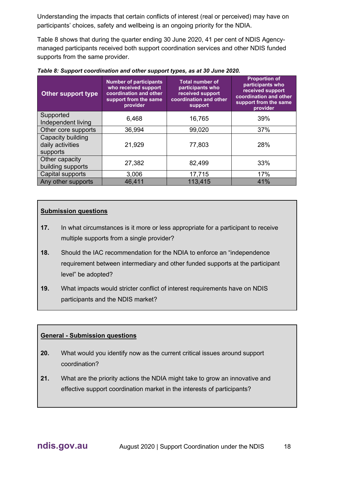Understanding the impacts that certain conflicts of interest (real or perceived) may have on participants' choices, safety and wellbeing is an ongoing priority for the NDIA.

Table 8 shows that during the quarter ending 30 June 2020, 41 per cent of NDIS Agencymanaged participants received both support coordination services and other NDIS funded supports from the same provider.

| Other support type                                | <b>Number of participants</b><br>who received support<br>coordination and other<br>support from the same<br>provider | <b>Total number of</b><br>participants who<br>received support<br>coordination and other<br>support | <b>Proportion of</b><br>participants who<br>received support<br>coordination and other<br>support from the same<br>provider |
|---------------------------------------------------|----------------------------------------------------------------------------------------------------------------------|-----------------------------------------------------------------------------------------------------|-----------------------------------------------------------------------------------------------------------------------------|
| Supported<br>Independent living                   | 6,468                                                                                                                | 16,765                                                                                              | 39%                                                                                                                         |
| Other core supports                               | 36,994                                                                                                               | 99,020                                                                                              | 37%                                                                                                                         |
| Capacity building<br>daily activities<br>supports | 21,929                                                                                                               | 77,803                                                                                              | 28%                                                                                                                         |
| Other capacity<br>building supports               | 27,382                                                                                                               | 82,499                                                                                              | 33%                                                                                                                         |
| Capital supports                                  | 3,006                                                                                                                | 17,715                                                                                              | 17%                                                                                                                         |
| Any other supports                                | 46,411                                                                                                               | 113,415                                                                                             | 41%                                                                                                                         |

*Table 8: Support coordination and other support types, as at 30 June 2020.*

#### **Submission questions**

- **17.** In what circumstances is it more or less appropriate for a participant to receive multiple supports from a single provider?
- **18.** Should the IAC recommendation for the NDIA to enforce an "independence requirement between intermediary and other funded supports at the participant level" be adopted?
- **19.** What impacts would stricter conflict of interest requirements have on NDIS participants and the NDIS market?

#### **General - Submission questions**

- **20.** What would you identify now as the current critical issues around support coordination?
- **21.** What are the priority actions the NDIA might take to grow an innovative and effective support coordination market in the interests of participants?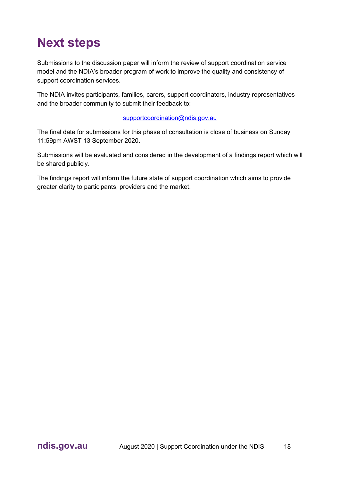### <span id="page-17-0"></span>**Next steps**

Submissions to the discussion paper will inform the review of support coordination service model and the NDIA's broader program of work to improve the quality and consistency of support coordination services.

The NDIA invites participants, families, carers, support coordinators, industry representatives and the broader community to submit their feedback to:

#### [supportcoordination@ndis.gov.au](about:blank)

The final date for submissions for this phase of consultation is close of business on Sunday 11:59pm AWST 13 September 2020.

Submissions will be evaluated and considered in the development of a findings report which will be shared publicly.

The findings report will inform the future state of support coordination which aims to provide greater clarity to participants, providers and the market.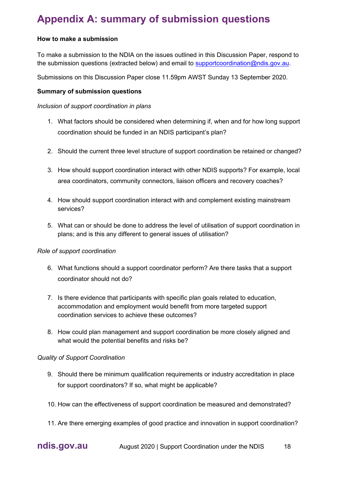### <span id="page-18-0"></span>**Appendix A: summary of submission questions**

#### **How to make a submission**

To make a submission to the NDIA on the issues outlined in this Discussion Paper, respond to the submission questions (extracted below) and email to [supportcoordination@ndis.gov.au.](about:blank)

Submissions on this Discussion Paper close 11.59pm AWST Sunday 13 September 2020.

#### **Summary of submission questions**

#### *Inclusion of support coordination in plans*

- 1. What factors should be considered when determining if, when and for how long support coordination should be funded in an NDIS participant's plan?
- 2. Should the current three level structure of support coordination be retained or changed?
- 3. How should support coordination interact with other NDIS supports? For example, local area coordinators, community connectors, liaison officers and recovery coaches?
- 4. How should support coordination interact with and complement existing mainstream services?
- 5. What can or should be done to address the level of utilisation of support coordination in plans; and is this any different to general issues of utilisation?

#### *Role of support coordination*

- 6. What functions should a support coordinator perform? Are there tasks that a support coordinator should not do?
- 7. Is there evidence that participants with specific plan goals related to education, accommodation and employment would benefit from more targeted support coordination services to achieve these outcomes?
- 8. How could plan management and support coordination be more closely aligned and what would the potential benefits and risks be?

#### *Quality of Support Coordination*

- 9. Should there be minimum qualification requirements or industry accreditation in place for support coordinators? If so, what might be applicable?
- 10. How can the effectiveness of support coordination be measured and demonstrated?
- 11. Are there emerging examples of good practice and innovation in support coordination?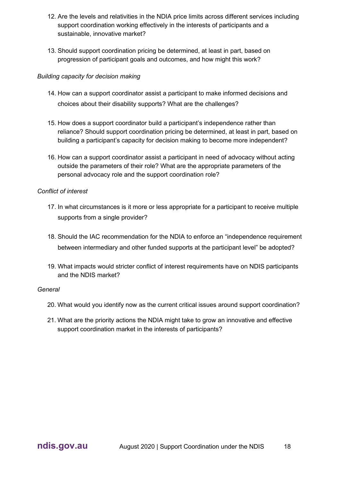- 12. Are the levels and relativities in the NDIA price limits across different services including support coordination working effectively in the interests of participants and a sustainable, innovative market?
- 13. Should support coordination pricing be determined, at least in part, based on progression of participant goals and outcomes, and how might this work?

#### *Building capacity for decision making*

- 14. How can a support coordinator assist a participant to make informed decisions and choices about their disability supports? What are the challenges?
- 15. How does a support coordinator build a participant's independence rather than reliance? Should support coordination pricing be determined, at least in part, based on building a participant's capacity for decision making to become more independent?
- 16. How can a support coordinator assist a participant in need of advocacy without acting outside the parameters of their role? What are the appropriate parameters of the personal advocacy role and the support coordination role?

#### *Conflict of interest*

- 17. In what circumstances is it more or less appropriate for a participant to receive multiple supports from a single provider?
- 18. Should the IAC recommendation for the NDIA to enforce an "independence requirement between intermediary and other funded supports at the participant level" be adopted?
- 19. What impacts would stricter conflict of interest requirements have on NDIS participants and the NDIS market?

#### *General*

- 20. What would you identify now as the current critical issues around support coordination?
- 21. What are the priority actions the NDIA might take to grow an innovative and effective support coordination market in the interests of participants?